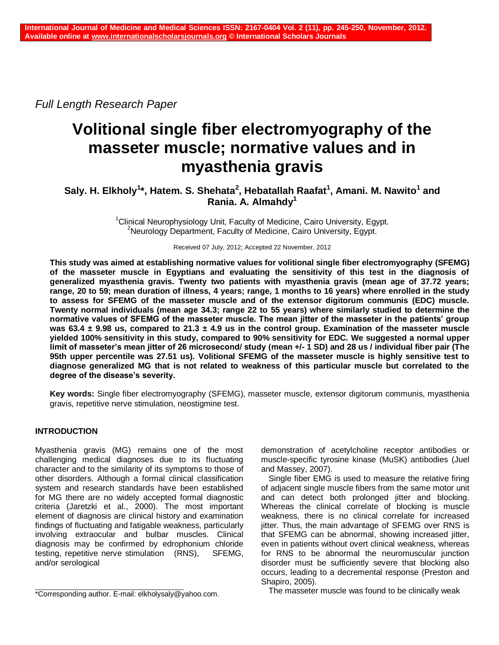*Full Length Research Paper*

# **Volitional single fiber electromyography of the masseter muscle; normative values and in myasthenia gravis**

# **Saly. H. Elkholy<sup>1</sup> \*, Hatem. S. Shehata<sup>2</sup> , Hebatallah Raafat<sup>1</sup> , Amani. M. Nawito<sup>1</sup> and Rania. A. Almahdy<sup>1</sup>**

<sup>1</sup>Clinical Neurophysiology Unit, Faculty of Medicine, Cairo University, Egypt. <sup>2</sup>Neurology Department, Faculty of Medicine, Cairo University, Egypt.

Received 07 July, 2012; Accepted 22 November, 2012

**This study was aimed at establishing normative values for volitional single fiber electromyography (SFEMG) of the masseter muscle in Egyptians and evaluating the sensitivity of this test in the diagnosis of generalized myasthenia gravis. Twenty two patients with myasthenia gravis (mean age of 37.72 years; range, 20 to 59; mean duration of illness, 4 years; range, 1 months to 16 years) where enrolled in the study to assess for SFEMG of the masseter muscle and of the extensor digitorum communis (EDC) muscle. Twenty normal individuals (mean age 34.3; range 22 to 55 years) where similarly studied to determine the normative values of SFEMG of the masseter muscle. The mean jitter of the masseter in the patients' group was 63.4 ± 9.98 us, compared to 21.3 ± 4.9 us in the control group. Examination of the masseter muscle yielded 100% sensitivity in this study, compared to 90% sensitivity for EDC. We suggested a normal upper limit of masseter's mean jitter of 26 microsecond/ study (mean +/- 1 SD) and 28 us / individual fiber pair (The 95th upper percentile was 27.51 us). Volitional SFEMG of the masseter muscle is highly sensitive test to diagnose generalized MG that is not related to weakness of this particular muscle but correlated to the degree of the disease's severity.**

**Key words:** Single fiber electromyography (SFEMG), masseter muscle, extensor digitorum communis, myasthenia gravis, repetitive nerve stimulation, neostigmine test.

## **INTRODUCTION**

Myasthenia gravis (MG) remains one of the most challenging medical diagnoses due to its fluctuating character and to the similarity of its symptoms to those of other disorders. Although a formal clinical classification system and research standards have been established for MG there are no widely accepted formal diagnostic criteria (Jaretzki et al., 2000). The most important element of diagnosis are clinical history and examination findings of fluctuating and fatigable weakness, particularly involving extraocular and bulbar muscles. Clinical diagnosis may be confirmed by edrophonium chloride testing, repetitive nerve stimulation (RNS), SFEMG, and/or serological

demonstration of acetylcholine receptor antibodies or muscle-specific tyrosine kinase (MuSK) antibodies (Juel and Massey, 2007).

Single fiber EMG is used to measure the relative firing of adjacent single muscle fibers from the same motor unit and can detect both prolonged jitter and blocking. Whereas the clinical correlate of blocking is muscle weakness, there is no clinical correlate for increased jitter. Thus, the main advantage of SFEMG over RNS is that SFEMG can be abnormal, showing increased jitter, even in patients without overt clinical weakness, whereas for RNS to be abnormal the neuromuscular junction disorder must be sufficiently severe that blocking also occurs, leading to a decremental response (Preston and Shapiro, 2005).

The masseter muscle was found to be clinically weak

\_\_\_\_\_\_\_\_\_\_\_\_\_\_\_\_\_\_\_\_\_\_\_\_\_\_\_\_\_\_\_\_\_\_\_\_\_\_\_\_\_ \*Corresponding author. E-mail: elkholysaly@yahoo.com.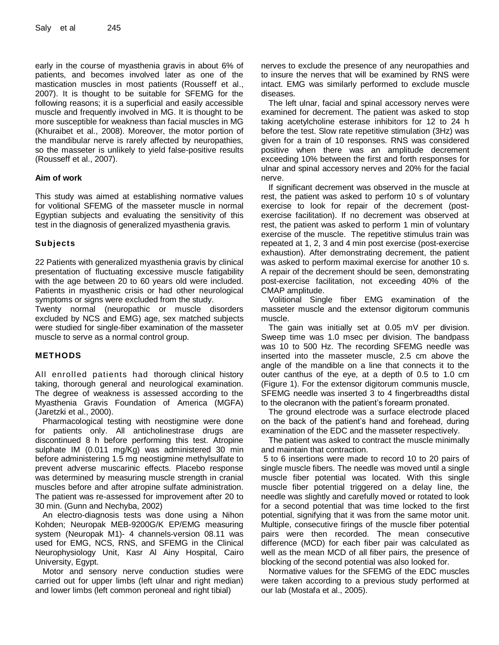early in the course of myasthenia gravis in about 6% of patients, and becomes involved later as one of the mastication muscles in most patients (Rousseff et al., 2007). It is thought to be suitable for SFEMG for the following reasons; it is a superficial and easily accessible muscle and frequently involved in MG. It is thought to be more susceptible for weakness than facial muscles in MG (Khuraibet et al., 2008). Moreover, the motor portion of the mandibular nerve is rarely affected by neuropathies, so the masseter is unlikely to yield false-positive results (Rousseff et al., 2007).

#### **Aim of work**

This study was aimed at establishing normative values for volitional SFEMG of the masseter muscle in normal Egyptian subjects and evaluating the sensitivity of this test in the diagnosis of generalized myasthenia gravis.

#### **Subjects**

22 Patients with generalized myasthenia gravis by clinical presentation of fluctuating excessive muscle fatigability with the age between 20 to 60 years old were included. Patients in myasthenic crisis or had other neurological symptoms or signs were excluded from the study.

Twenty normal (neuropathic or muscle disorders excluded by NCS and EMG) age, sex matched subjects were studied for single-fiber examination of the masseter muscle to serve as a normal control group.

#### **METHODS**

All enrolled patients had thorough clinical history taking, thorough general and neurological examination. The degree of weakness is assessed according to the Myasthenia Gravis Foundation of America (MGFA) (Jaretzki et al., 2000).

Pharmacological testing with neostigmine were done for patients only. All anticholinestrase drugs are discontinued 8 h before performing this test. Atropine sulphate IM (0.011 mg/Kg) was administered 30 min before administering 1.5 mg neostigmine methylsulfate to prevent adverse muscarinic effects. Placebo response was determined by measuring muscle strength in cranial muscles before and after atropine sulfate administration. The patient was re-assessed for improvement after 20 to 30 min. (Gunn and Nechyba, 2002)

An electro-diagnosis tests was done using a Nihon Kohden; Neuropak MEB-9200G/K EP/EMG measuring system (Neuropak M1)- 4 channels-version 08.11 was used for EMG, NCS, RNS, and SFEMG in the Clinical Neurophysiology Unit, Kasr Al Ainy Hospital, Cairo University, Egypt.

Motor and sensory nerve conduction studies were carried out for upper limbs (left ulnar and right median) and lower limbs (left common peroneal and right tibial)

nerves to exclude the presence of any neuropathies and to insure the nerves that will be examined by RNS were intact. EMG was similarly performed to exclude muscle diseases.

The left ulnar, facial and spinal accessory nerves were examined for decrement. The patient was asked to stop taking acetylcholine esterase inhibitors for 12 to 24 h before the test. Slow rate repetitive stimulation (3Hz) was given for a train of 10 responses. RNS was considered positive when there was an amplitude decrement exceeding 10% between the first and forth responses for ulnar and spinal accessory nerves and 20% for the facial nerve.

If significant decrement was observed in the muscle at rest, the patient was asked to perform 10 s of voluntary exercise to look for repair of the decrement (postexercise facilitation). If no decrement was observed at rest, the patient was asked to perform 1 min of voluntary exercise of the muscle. The repetitive stimulus train was repeated at 1, 2, 3 and 4 min post exercise (post-exercise exhaustion). After demonstrating decrement, the patient was asked to perform maximal exercise for another 10 s. A repair of the decrement should be seen, demonstrating post-exercise facilitation, not exceeding 40% of the CMAP amplitude.

Volitional Single fiber EMG examination of the masseter muscle and the extensor digitorum communis muscle.

The gain was initially set at 0.05 mV per division. Sweep time was 1.0 msec per division. The bandpass was 10 to 500 Hz. The recording SFEMG needle was inserted into the masseter muscle, 2.5 cm above the angle of the mandible on a line that connects it to the outer canthus of the eye, at a depth of 0.5 to 1.0 cm (Figure 1). For the extensor digitorum communis muscle, SFEMG needle was inserted 3 to 4 fingerbreadths distal to the olecranon with the patient's forearm pronated.

The ground electrode was a surface electrode placed on the back of the patient's hand and forehead, during examination of the EDC and the masseter respectively.

The patient was asked to contract the muscle minimally and maintain that contraction.

5 to 6 insertions were made to record 10 to 20 pairs of single muscle fibers. The needle was moved until a single muscle fiber potential was located. With this single muscle fiber potential triggered on a delay line, the needle was slightly and carefully moved or rotated to look for a second potential that was time locked to the first potential, signifying that it was from the same motor unit. Multiple, consecutive firings of the muscle fiber potential pairs were then recorded. The mean consecutive difference (MCD) for each fiber pair was calculated as well as the mean MCD of all fiber pairs, the presence of blocking of the second potential was also looked for.

Normative values for the SFEMG of the EDC muscles were taken according to a previous study performed at our lab (Mostafa et al., 2005).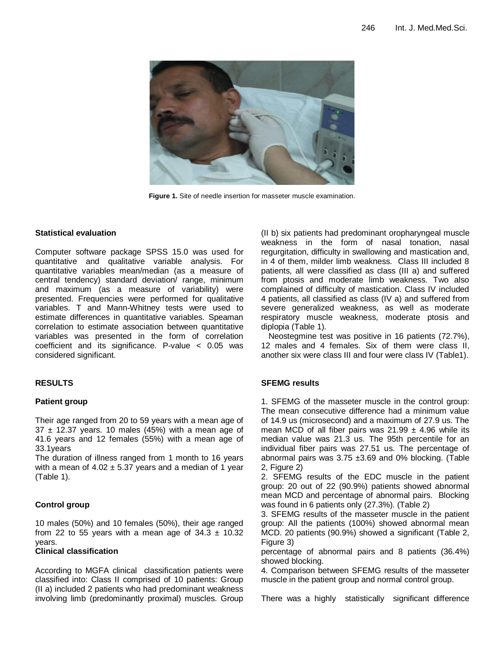

**Figure 1.** Site of needle insertion for masseter muscle examination.

#### **Statistical evaluation**

Computer software package SPSS 15.0 was used for quantitative and qualitative variable analysis. For quantitative variables mean/median (as a measure of central tendency) standard deviation/ range, minimum and maximum (as a measure of variability) were presented. Frequencies were performed for qualitative variables. T and Mann-Whitney tests were used to estimate differences in quantitative variables. Speaman correlation to estimate association between quantitative variables was presented in the form of correlation coefficient and its significance. P-value < 0.05 was considered significant.

#### **RESULTS**

#### **Patient group**

Their age ranged from 20 to 59 years with a mean age of  $37 \pm 12.37$  years. 10 males (45%) with a mean age of 41.6 years and 12 females (55%) with a mean age of 33.1years

The duration of illness ranged from 1 month to 16 years with a mean of  $4.02 \pm 5.37$  years and a median of 1 year (Table 1).

#### **Control group**

10 males (50%) and 10 females (50%), their age ranged from 22 to 55 years with a mean age of  $34.3 \pm 10.32$ years.

#### **Clinical classification**

According to MGFA clinical classification patients were classified into: Class II comprised of 10 patients: Group (II a) included 2 patients who had predominant weakness involving limb (predominantly proximal) muscles. Group (II b) six patients had predominant oropharyngeal muscle weakness in the form of nasal tonation, nasal regurgitation, difficulty in swallowing and mastication and, in 4 of them, milder limb weakness. Class III included 8 patients, all were classified as class (III a) and suffered from ptosis and moderate limb weakness. Two also complained of difficulty of mastication. Class IV included 4 patients, all classified as class (IV a) and suffered from severe generalized weakness, as well as moderate respiratory muscle weakness, moderate ptosis and diplopia (Table 1).

Neostegmine test was positive in 16 patients (72.7%), 12 males and 4 females. Six of them were class II, another six were class III and four were class IV (Table1).

#### **SFEMG results**

1. SFEMG of the masseter muscle in the control group: The mean consecutive difference had a minimum value of 14.9 us (microsecond) and a maximum of 27.9 us. The mean MCD of all fiber pairs was  $21.99 \pm 4.96$  while its median value was 21.3 us. The 95th percentile for an individual fiber pairs was 27.51 us. The percentage of abnormal pairs was  $3.75 \pm 3.69$  and 0% blocking. (Table 2, Figure 2)

2. SFEMG results of the EDC muscle in the patient group: 20 out of 22 (90.9%) patients showed abnormal mean MCD and percentage of abnormal pairs. Blocking was found in 6 patients only (27.3%). (Table 2)

3. SFEMG results of the masseter muscle in the patient group: All the patients (100%) showed abnormal mean MCD. 20 patients (90.9%) showed a significant (Table 2, Figure 3)

percentage of abnormal pairs and 8 patients (36.4%) showed blocking.

4. Comparison between SFEMG results of the masseter muscle in the patient group and normal control group.

There was a highly statistically significant difference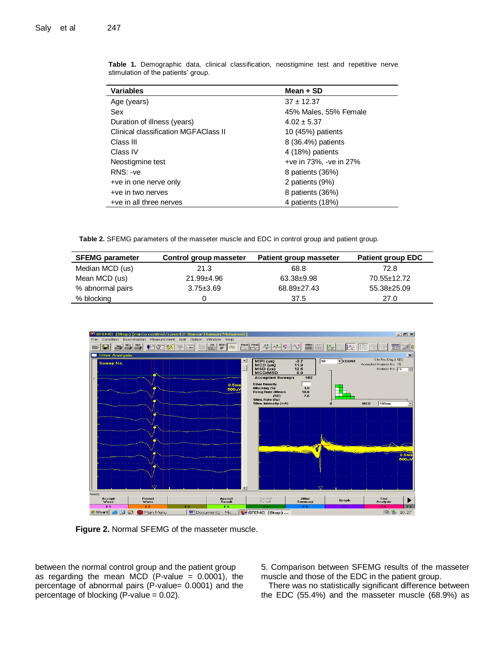| <b>Variables</b>                     | Mean + SD              |
|--------------------------------------|------------------------|
| Age (years)                          | $37 + 12.37$           |
| Sex                                  | 45% Males, 55% Female  |
| Duration of illness (years)          | $4.02 \pm 5.37$        |
| Clinical classification MGFAClass II | 10 (45%) patients      |
| Class III                            | 8 (36.4%) patients     |
| Class IV                             | 4 (18%) patients       |
| Neostigmine test                     | +ve in 73%, -ve in 27% |
| RNS: -ve                             | 8 patients (36%)       |
| +ve in one nerve only                | 2 patients (9%)        |
| +ve in two nerves                    | 8 patients (36%)       |
| +ve in all three nerves              | 4 patients (18%)       |

**Table 1.** Demographic data, clinical classification, neostigmine test and repetitive nerve stimulation of the patients' group.

**Table 2.** SFEMG parameters of the masseter muscle and EDC in control group and patient group.

| <b>SFEMG parameter</b> | Control group masseter | <b>Patient group masseter</b> | <b>Patient group EDC</b> |
|------------------------|------------------------|-------------------------------|--------------------------|
| Median MCD (us)        | 21.3                   | 68.8                          | 72.8                     |
| Mean MCD (us)          | $21.99 + 4.96$         | 63.38±9.98                    | 70.55±12.72              |
| % abnormal pairs       | $3.75 \pm 3.69$        | 68.89±27.43                   | 55.38±25.09              |
| % blocking             |                        | 37.5                          | 27.0                     |



**Figure 2.** Normal SFEMG of the masseter muscle.

between the normal control group and the patient group as regarding the mean MCD (P-value  $= 0.0001$ ), the percentage of abnormal pairs (P-value= 0.0001) and the percentage of blocking (P-value = 0.02).

5. Comparison between SFEMG results of the masseter muscle and those of the EDC in the patient group.

There was no statistically significant difference between the EDC (55.4%) and the masseter muscle (68.9%) as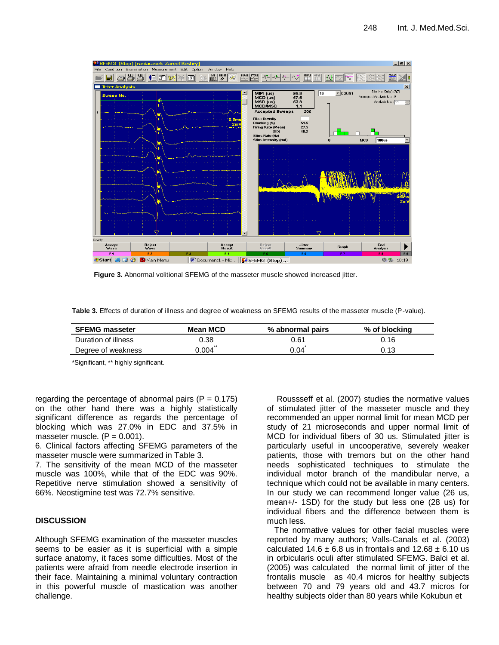

**Figure 3.** Abnormal volitional SFEMG of the masseter muscle showed increased jitter.

**Table 3.** Effects of duration of illness and degree of weakness on SFEMG results of the masseter muscle (P-value).

| <b>SFEMG masseter</b> | Mean MCD | % abnormal pairs | % of blocking |
|-----------------------|----------|------------------|---------------|
| Duration of illness   | 0.38     | 0.61             | 0.16          |
| Degree of weakness    | 0.004    | 0.04             | 0.13          |

\*Significant, \*\* highly significant.

regarding the percentage of abnormal pairs ( $P = 0.175$ ) on the other hand there was a highly statistically significant difference as regards the percentage of blocking which was 27.0% in EDC and 37.5% in masseter muscle.  $(P = 0.001)$ .

6. Clinical factors affecting SFEMG parameters of the masseter muscle were summarized in Table 3.

7. The sensitivity of the mean MCD of the masseter muscle was 100%, while that of the EDC was 90%. Repetitive nerve stimulation showed a sensitivity of 66%. Neostigmine test was 72.7% sensitive.

#### **DISCUSSION**

Although SFEMG examination of the masseter muscles seems to be easier as it is superficial with a simple surface anatomy, it faces some difficulties. Most of the patients were afraid from needle electrode insertion in their face. Maintaining a minimal voluntary contraction in this powerful muscle of mastication was another challenge.

Roussseff et al. (2007) studies the normative values of stimulated jitter of the masseter muscle and they recommended an upper normal limit for mean MCD per study of 21 microseconds and upper normal limit of MCD for individual fibers of 30 us. Stimulated jitter is particularly useful in uncooperative, severely weaker patients, those with tremors but on the other hand needs sophisticated techniques to stimulate the individual motor branch of the mandibular nerve, a technique which could not be available in many centers. In our study we can recommend longer value (26 us, mean+/- 1SD) for the study but less one (28 us) for individual fibers and the difference between them is much less.

The normative values for other facial muscles were reported by many authors; Valls-Canals et al. (2003) calculated  $14.6 + 6.8$  us in frontalis and  $12.68 + 6.10$  us in orbicularis oculi after stimulated SFEMG. Balci et al. (2005) was calculated the normal limit of jitter of the frontalis muscle as 40.4 micros for healthy subjects between 70 and 79 years old and 43.7 micros for healthy subjects older than 80 years while Kokubun et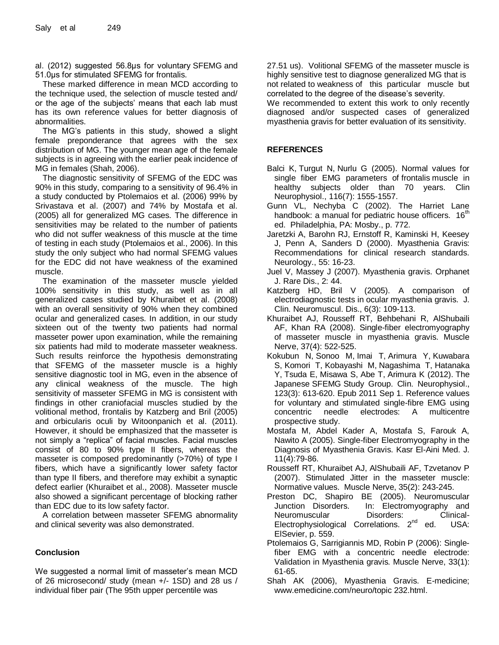al. (2012) suggested 56.8μs for voluntary SFEMG and 51.0μs for stimulated SFEMG for frontalis.

These marked difference in mean MCD according to the technique used, the selection of muscle tested and/ or the age of the subjects' means that each lab must has its own reference values for better diagnosis of abnormalities.

The MG's patients in this study, showed a slight female preponderance that agrees with the sex distribution of MG. The younger mean age of the female subjects is in agreeing with the earlier peak incidence of MG in females (Shah, 2006).

The diagnostic sensitivity of SFEMG of the EDC was 90% in this study, comparing to a sensitivity of 96.4% in a study conducted by Ptolemaios et al. (2006) 99% by Srivastava et al. (2007) and 74% by Mostafa et al. (2005) all for generalized MG cases. The difference in sensitivities may be related to the number of patients who did not suffer weakness of this muscle at the time of testing in each study (Ptolemaios et al., 2006). In this study the only subject who had normal SFEMG values for the EDC did not have weakness of the examined muscle.

The examination of the masseter muscle yielded 100% sensitivity in this study, as well as in all generalized cases studied by Khuraibet et al. (2008) with an overall sensitivity of 90% when they combined ocular and generalized cases. In addition, in our study sixteen out of the twenty two patients had normal masseter power upon examination, while the remaining six patients had mild to moderate masseter weakness. Such results reinforce the hypothesis demonstrating that SFEMG of the masseter muscle is a highly sensitive diagnostic tool in MG, even in the absence of any clinical weakness of the muscle. The high sensitivity of masseter SFEMG in MG is consistent with findings in other craniofacial muscles studied by the volitional method, frontalis by Katzberg and Bril (2005) and orbicularis oculi by Witoonpanich et al. (2011). However, it should be emphasized that the masseter is not simply a "replica" of facial muscles. Facial muscles consist of 80 to 90% type II fibers, whereas the masseter is composed predominantly (>70%) of type I fibers, which have a significantly lower safety factor than type II fibers, and therefore may exhibit a synaptic defect earlier (Khuraibet et al., 2008). Masseter muscle also showed a significant percentage of blocking rather than EDC due to its low safety factor.

A correlation between masseter SFEMG abnormality and clinical severity was also demonstrated.

#### **Conclusion**

We suggested a normal limit of masseter's mean MCD of 26 microsecond/ study (mean +/- 1SD) and 28 us / individual fiber pair (The 95th upper percentile was

27.51 us). Volitional SFEMG of the masseter muscle is highly sensitive test to diagnose generalized MG that is not related to weakness of this particular muscle but correlated to the degree of the disease's severity.

We recommended to extent this work to only recently diagnosed and/or suspected cases of generalized myasthenia gravis for better evaluation of its sensitivity.

### **REFERENCES**

- [Balci K,](http://www.ncbi.nlm.nih.gov/pubmed?term=%22Balci%20K%22%5BAuthor%5D) [Turgut N,](http://www.ncbi.nlm.nih.gov/pubmed?term=%22Turgut%20N%22%5BAuthor%5D) [Nurlu G](http://www.ncbi.nlm.nih.gov/pubmed?term=%22Nurlu%20G%22%5BAuthor%5D) (2005). Normal values for single fiber EMG parameters of frontalis muscle in healthy subjects older than 70 years. Clin Neurophysiol., 116(7): 1555-1557.
- Gunn VL, Nechyba C (2002). The Harriet Lane handbook: a manual for pediatric house officers. 16<sup>th</sup> ed. Philadelphia, PA: Mosby., p. 772.
- Jaretzki A, Barohn RJ, Ernstoff R, Kaminski H, Keesey J, Penn A, Sanders D (2000). Myasthenia Gravis: Recommendations for clinical research standards. Neurology., 55: 16-23.
- Juel V, Massey J (2007). Myasthenia gravis. Orphanet J. Rare Dis., 2: 44.
- Katzberg HD, Bril V (2005). A comparison of electrodiagnostic tests in ocular myasthenia gravis. J. Clin. Neuromuscul. Dis., 6(3): 109-113.
- Khuraibet AJ, Rousseff RT, Behbehani R, AlShubaili AF, Khan RA (2008). Single-fiber electromyography of masseter muscle in myasthenia gravis. Muscle Nerve, 37(4): 522-525.
- [Kokubun N,](http://www.ncbi.nlm.nih.gov/pubmed?term=%22Kokubun%20N%22%5BAuthor%5D) [Sonoo M,](http://www.ncbi.nlm.nih.gov/pubmed?term=%22Sonoo%20M%22%5BAuthor%5D) [Imai T,](http://www.ncbi.nlm.nih.gov/pubmed?term=%22Imai%20T%22%5BAuthor%5D) [Arimura Y,](http://www.ncbi.nlm.nih.gov/pubmed?term=%22Arimura%20Y%22%5BAuthor%5D) [Kuwabara](http://www.ncbi.nlm.nih.gov/pubmed?term=%22Kuwabara%20S%22%5BAuthor%5D)  [S,](http://www.ncbi.nlm.nih.gov/pubmed?term=%22Kuwabara%20S%22%5BAuthor%5D) [Komori T,](http://www.ncbi.nlm.nih.gov/pubmed?term=%22Komori%20T%22%5BAuthor%5D) [Kobayashi M,](http://www.ncbi.nlm.nih.gov/pubmed?term=%22Kobayashi%20M%22%5BAuthor%5D) [Nagashima T,](http://www.ncbi.nlm.nih.gov/pubmed?term=%22Nagashima%20T%22%5BAuthor%5D) [Hatanaka](http://www.ncbi.nlm.nih.gov/pubmed?term=%22Hatanaka%20Y%22%5BAuthor%5D)  [Y,](http://www.ncbi.nlm.nih.gov/pubmed?term=%22Hatanaka%20Y%22%5BAuthor%5D) [Tsuda E,](http://www.ncbi.nlm.nih.gov/pubmed?term=%22Tsuda%20E%22%5BAuthor%5D) [Misawa S,](http://www.ncbi.nlm.nih.gov/pubmed?term=%22Misawa%20S%22%5BAuthor%5D) [Abe T,](http://www.ncbi.nlm.nih.gov/pubmed?term=%22Abe%20T%22%5BAuthor%5D) [Arimura K](http://www.ncbi.nlm.nih.gov/pubmed?term=%22Arimura%20K%22%5BAuthor%5D) (2012). [The](http://www.ncbi.nlm.nih.gov/pubmed?term=%22The%20Japanese%20SFEMG%20Study%20Group%22%5BCorporate%20Author%5D)  Japanese SFEMG [Study Group.](http://www.ncbi.nlm.nih.gov/pubmed?term=%22The%20Japanese%20SFEMG%20Study%20Group%22%5BCorporate%20Author%5D) Clin. Neurophysiol., 123(3): 613-620. Epub 2011 Sep 1. Reference values for voluntary and stimulated single-fibre EMG using concentric needle electrodes: A multicentre prospective study.
- Mostafa M, Abdel Kader A, Mostafa S, Farouk A, Nawito A (2005). Single-fiber Electromyography in the Diagnosis of Myasthenia Gravis. Kasr El-Aini Med. J. 11(4):79-86.
- Rousseff RT, Khuraibet AJ, AlShubaili AF, Tzvetanov P (2007). Stimulated Jitter in the masseter muscle: Normative values. Muscle Nerve, 35(2): 243-245.
- Preston DC, Shapiro BE (2005). Neuromuscular Junction Disorders. In: Electromyography and Neuromuscular Disorders: Clinical-Electrophysiological Correlations. 2<sup>nd</sup> ed. USA: ElSevier, p. 559.
- Ptolemaios G, Sarrigiannis MD, Robin P (2006): Singlefiber EMG with a concentric needle electrode: Validation in Myasthenia gravis. Muscle Nerve, 33(1): 61-65.
- Shah AK (2006), Myasthenia Gravis. E-medicine; www.emedicine.com/neuro/topic 232.html.